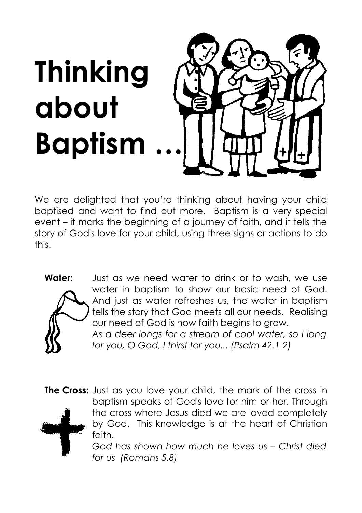

We are delighted that you're thinking about having your child baptised and want to find out more. Baptism is a very special event – it marks the beginning of a journey of faith, and it tells the story of God's love for your child, using three signs or actions to do this.



**Water:** Just as we need water to drink or to wash, we use water in baptism to show our basic need of God. And just as water refreshes us, the water in baptism tells the story that God meets all our needs. Realising our need of God is how faith begins to grow. *As a deer longs for a stream of cool water, so I long for you, O God, I thirst for you... (Psalm 42.1-2)*

**The Cross:** Just as you love your child, the mark of the cross in baptism speaks of God's love for him or her. Through the cross where Jesus died we are loved completely by God. This knowledge is at the heart of Christian faith.

*God has shown how much he loves us – Christ died for us (Romans 5.8)*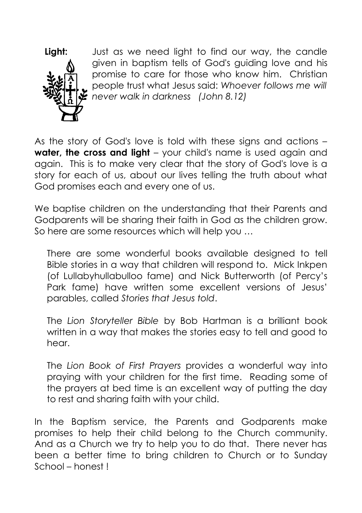

**Light:** Just as we need light to find our way, the candle given in baptism tells of God's guiding love and his promise to care for those who know him. Christian people trust what Jesus said: *Whoever follows me will never walk in darkness (John 8.12)*

As the story of God's love is told with these signs and actions – **water, the cross and light** – your child's name is used again and again. This is to make very clear that the story of God's love is a story for each of us, about our lives telling the truth about what God promises each and every one of us.

We baptise children on the understanding that their Parents and Godparents will be sharing their faith in God as the children grow. So here are some resources which will help you …

There are some wonderful books available designed to tell Bible stories in a way that children will respond to. Mick Inkpen (of Lullabyhullabulloo fame) and Nick Butterworth (of Percy's Park fame) have written some excellent versions of Jesus' parables, called *Stories that Jesus told*.

The *Lion Storyteller Bible* by Bob Hartman is a brilliant book written in a way that makes the stories easy to tell and good to hear.

The *Lion Book of First Prayers* provides a wonderful way into praying with your children for the first time. Reading some of the prayers at bed time is an excellent way of putting the day to rest and sharing faith with your child.

In the Baptism service, the Parents and Godparents make promises to help their child belong to the Church community. And as a Church we try to help you to do that. There never has been a better time to bring children to Church or to Sunday School – honest !